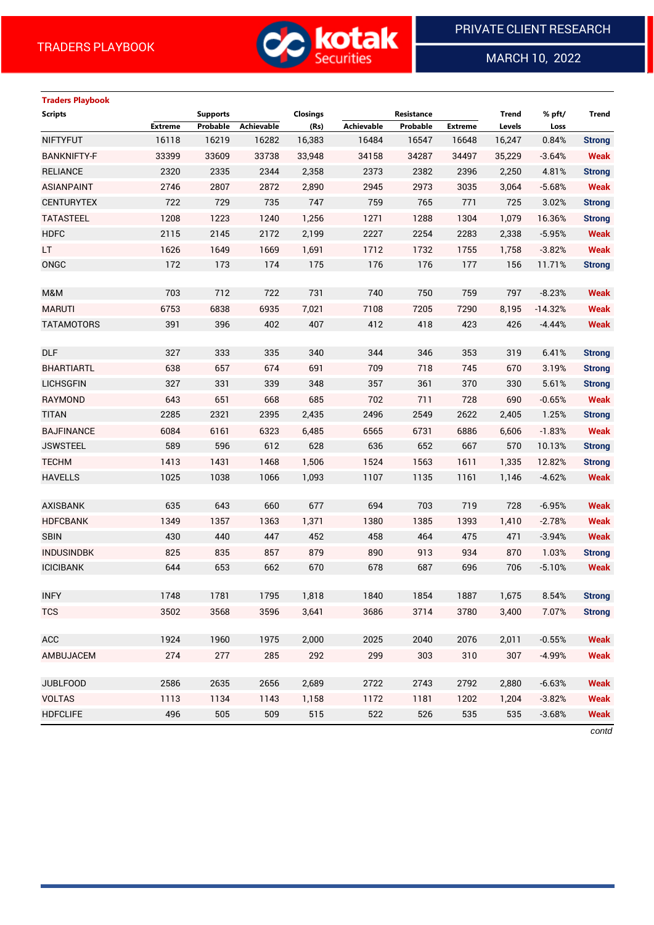

MARCH 10, 2022

 $\overline{a}$ 

## **Traders Playbook**

| <b>Scripts</b>     |                | <b>Supports</b> |            | <b>Closings</b> |            | Resistance |                | <b>Trend</b> | % pft/    | Trend                          |
|--------------------|----------------|-----------------|------------|-----------------|------------|------------|----------------|--------------|-----------|--------------------------------|
|                    | <b>Extreme</b> | Probable        | Achievable | (Rs)            | Achievable | Probable   | <b>Extreme</b> | Levels       | Loss      |                                |
| <b>NIFTYFUT</b>    | 16118          | 16219           | 16282      | 16,383          | 16484      | 16547      | 16648          | 16,247       | 0.84%     | <b>Strong</b>                  |
| <b>BANKNIFTY-F</b> | 33399          | 33609           | 33738      | 33,948          | 34158      | 34287      | 34497          | 35,229       | $-3.64%$  | <b>Weak</b>                    |
| <b>RELIANCE</b>    | 2320           | 2335            | 2344       | 2,358           | 2373       | 2382       | 2396           | 2,250        | 4.81%     | <b>Strong</b>                  |
| <b>ASIANPAINT</b>  | 2746           | 2807            | 2872       | 2,890           | 2945       | 2973       | 3035           | 3,064        | $-5.68%$  | <b>Weak</b>                    |
| <b>CENTURYTEX</b>  | 722            | 729             | 735        | 747             | 759        | 765        | 771            | 725          | 3.02%     | <b>Strong</b>                  |
| <b>TATASTEEL</b>   | 1208           | 1223            | 1240       | 1,256           | 1271       | 1288       | 1304           | 1,079        | 16.36%    | <b>Strong</b>                  |
| <b>HDFC</b>        | 2115           | 2145            | 2172       | 2,199           | 2227       | 2254       | 2283           | 2,338        | $-5.95%$  | <b>Weak</b>                    |
| LT.                | 1626           | 1649            | 1669       | 1,691           | 1712       | 1732       | 1755           | 1,758        | $-3.82%$  | <b>Weak</b>                    |
| ONGC               | 172            | 173             | 174        | 175             | 176        | 176        | 177            | 156          | 11.71%    | <b>Strong</b>                  |
|                    |                |                 |            |                 |            |            |                |              |           |                                |
| M&M                | 703            | 712             | 722        | 731             | 740        | 750        | 759            | 797          | $-8.23%$  | <b>Weak</b>                    |
| <b>MARUTI</b>      | 6753           | 6838            | 6935       | 7,021           | 7108       | 7205       | 7290           | 8,195        | $-14.32%$ | <b>Weak</b>                    |
| <b>TATAMOTORS</b>  | 391            | 396             | 402        | 407             | 412        | 418        | 423            | 426          | $-4.44%$  | <b>Weak</b>                    |
| <b>DLF</b>         | 327            | 333             | 335        | 340             | 344        | 346        | 353            | 319          | 6.41%     | <b>Strong</b>                  |
| <b>BHARTIARTL</b>  |                |                 | 674        | 691             | 709        | 718        | 745            | 670          | 3.19%     |                                |
| <b>LICHSGFIN</b>   | 638<br>327     | 657<br>331      | 339        | 348             | 357        | 361        | 370            | 330          | 5.61%     | <b>Strong</b><br><b>Strong</b> |
| RAYMOND            | 643            | 651             | 668        | 685             | 702        | 711        | 728            | 690          | $-0.65%$  | <b>Weak</b>                    |
| <b>TITAN</b>       | 2285           | 2321            | 2395       | 2,435           | 2496       | 2549       | 2622           | 2,405        | 1.25%     |                                |
| <b>BAJFINANCE</b>  |                |                 |            |                 |            |            |                |              |           | <b>Strong</b>                  |
|                    | 6084           | 6161            | 6323       | 6,485           | 6565       | 6731       | 6886           | 6,606        | $-1.83%$  | <b>Weak</b>                    |
| <b>JSWSTEEL</b>    | 589            | 596             | 612        | 628             | 636        | 652        | 667            | 570          | 10.13%    | <b>Strong</b>                  |
| <b>TECHM</b>       | 1413           | 1431            | 1468       | 1,506           | 1524       | 1563       | 1611           | 1,335        | 12.82%    | <b>Strong</b>                  |
| <b>HAVELLS</b>     | 1025           | 1038            | 1066       | 1,093           | 1107       | 1135       | 1161           | 1,146        | $-4.62%$  | <b>Weak</b>                    |
| <b>AXISBANK</b>    | 635            | 643             | 660        | 677             | 694        | 703        | 719            | 728          | $-6.95%$  | <b>Weak</b>                    |
| <b>HDFCBANK</b>    | 1349           | 1357            | 1363       | 1,371           | 1380       | 1385       | 1393           | 1,410        | $-2.78%$  | <b>Weak</b>                    |
| <b>SBIN</b>        | 430            | 440             | 447        | 452             | 458        | 464        | 475            | 471          | $-3.94%$  | <b>Weak</b>                    |
| <b>INDUSINDBK</b>  | 825            | 835             | 857        | 879             | 890        | 913        | 934            | 870          | 1.03%     | <b>Strong</b>                  |
| <b>ICICIBANK</b>   | 644            | 653             | 662        | 670             | 678        | 687        | 696            | 706          | $-5.10%$  | <b>Weak</b>                    |
|                    |                |                 |            |                 |            |            |                |              |           |                                |
| <b>INFY</b>        | 1748           | 1781            | 1795       | 1,818           | 1840       | 1854       | 1887           | 1,675        | 8.54%     | <b>Strong</b>                  |
| <b>TCS</b>         | 3502           | 3568            | 3596       | 3,641           | 3686       | 3714       | 3780           | 3,400        | 7.07%     | <b>Strong</b>                  |
|                    |                |                 |            |                 |            |            |                |              |           |                                |
| ACC                | 1924           | 1960            | 1975       | 2,000           | 2025       | 2040       | 2076           | 2,011        | $-0.55%$  | <b>Weak</b>                    |
| AMBUJACEM          | 274            | 277             | 285        | 292             | 299        | 303        | 310            | 307          | $-4.99%$  | <b>Weak</b>                    |
|                    |                |                 |            |                 |            |            |                |              |           |                                |
| <b>JUBLFOOD</b>    | 2586           | 2635            | 2656       | 2,689           | 2722       | 2743       | 2792           | 2,880        | $-6.63%$  | <b>Weak</b>                    |
| <b>VOLTAS</b>      | 1113           | 1134            | 1143       | 1,158           | 1172       | 1181       | 1202           | 1,204        | $-3.82%$  | <b>Weak</b>                    |
| <b>HDFCLIFE</b>    | 496            | 505             | 509        | 515             | 522        | 526        | 535            | 535          | $-3.68%$  | <b>Weak</b>                    |

*contd*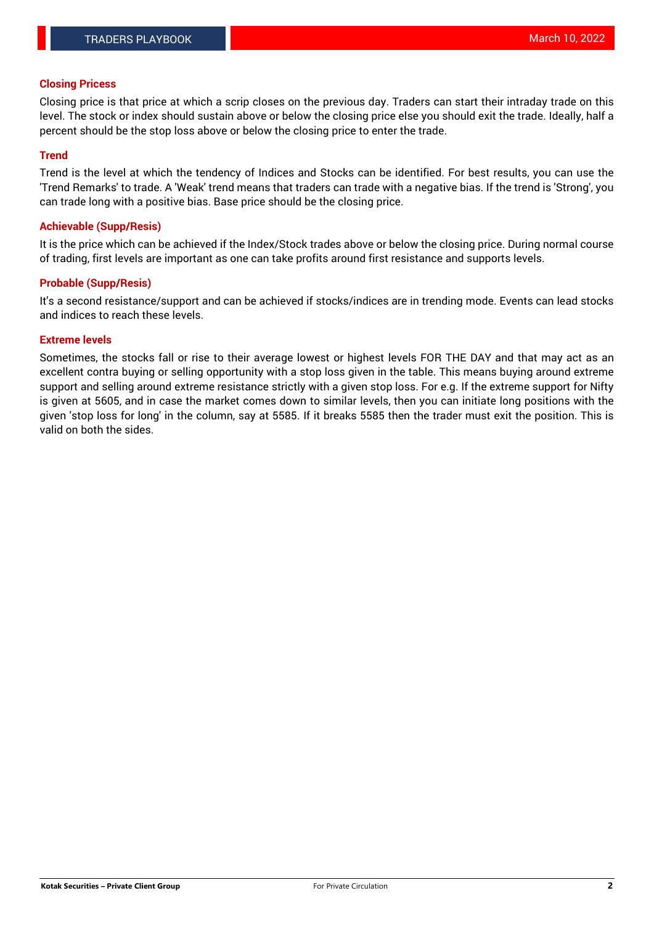### **Closing Pricess**

Closing price is that price at which a scrip closes on the previous day. Traders can start their intraday trade on this level. The stock or index should sustain above or below the closing price else you should exit the trade. Ideally, half a percent should be the stop loss above or below the closing price to enter the trade.

### **Trend**

Trend is the level at which the tendency of Indices and Stocks can be identified. For best results, you can use the 'Trend Remarks' to trade. A 'Weak' trend means that traders can trade with a negative bias. If the trend is 'Strong', you can trade long with a positive bias. Base price should be the closing price.

#### **Achievable (Supp/Resis)**

It is the price which can be achieved if the Index/Stock trades above or below the closing price. During normal course of trading, first levels are important as one can take profits around first resistance and supports levels.

### **Probable (Supp/Resis)**

It's a second resistance/support and can be achieved if stocks/indices are in trending mode. Events can lead stocks and indices to reach these levels.

#### **Extreme levels**

Sometimes, the stocks fall or rise to their average lowest or highest levels FOR THE DAY and that may act as an excellent contra buying or selling opportunity with a stop loss given in the table. This means buying around extreme support and selling around extreme resistance strictly with a given stop loss. For e.g. If the extreme support for Nifty is given at 5605, and in case the market comes down to similar levels, then you can initiate long positions with the given 'stop loss for long' in the column, say at 5585. If it breaks 5585 then the trader must exit the position. This is valid on both the sides.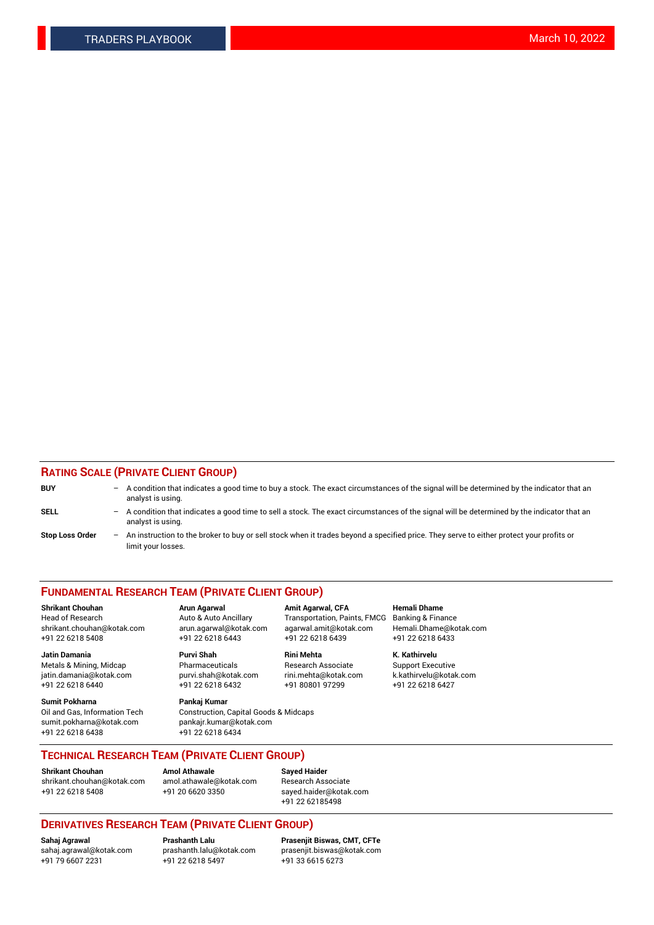### **RATING SCALE (PRIVATE CLIENT GROUP)**

| <b>BUY</b>             | -                 | A condition that indicates a good time to buy a stock. The exact circumstances of the signal will be determined by the indicator that an<br>analyst is using.  |
|------------------------|-------------------|----------------------------------------------------------------------------------------------------------------------------------------------------------------|
| SELL                   | -                 | A condition that indicates a good time to sell a stock. The exact circumstances of the signal will be determined by the indicator that an<br>analyst is using. |
| <b>Stop Loss Order</b> | $\qquad \qquad -$ | An instruction to the broker to buy or sell stock when it trades beyond a specified price. They serve to either protect your profits or<br>limit your losses.  |

#### **FUNDAMENTAL RESEARCH TEAM (PRIVATE CLIENT GROUP)**

**Shrikant Chouhan Arun Agarwal Amit Agarwal, CFA Hemali Dhame** Head of Research Auto & Auto Ancillary Transportation, Paints, FMCG Banking & Finance shrikant.chouhan@kotak.com arun.agarwal@kotak.com agarwal.amit@kotak.com Hemali.Dhame@kotak.com +91 22 6218 5408 +91 22 6218 6443 +91 22 6218 6439 +91 22 6218 6433

**Jatin Damania Purvi Shah Rini Mehta K. Kathirvelu** Metals & Mining, Midcap **Pharmaceuticals** Research Associate Support Executive jatin.damania@kotak.com [purvi.shah@kotak.com](mailto:purvi.shah@kotak.com) rini.mehta@kotak.com [k.kathirvelu@kotak.com](mailto:k.kathirvelu@kotak.com)  $+91$  22 6218 6440  $+91$  22 6218 6432

**Sumit Pokharna Pankaj Kumar** sumit.pokharna@kotak.com pankajr.kumar@kotak.com +91 22 6218 6438 +91 22 6218 6434

Oil and Gas, Information Tech Construction, Capital Goods & Midcaps

**TECHNICAL RESEARCH TEAM (PRIVATE CLIENT GROUP)**

[shrikant.chouhan@kotak.com](mailto:shrikant.chouhan@kotak.com) [amol.athawale@kotak.com](mailto:amol.athawale@kotak.com) Research Associate +91 22 6218 5408 +91 20 6620 3350 [sayed.haider@kotak.com](mailto:sayed.haider@kotak.com)

**Shrikant Chouhan Amol Athawale Sayed Haider**

# +91 22 62185498

# **DERIVATIVES RESEARCH TEAM (PRIVATE CLIENT GROUP)**

 $+91$  22 6218 5497

**Sahaj Agrawal Prashanth Lalu Prasenjit Biswas, CMT, CFTe** [sahaj.agrawal@kotak.com](mailto:sahaj.agrawal@kotak.com) [prashanth.lalu@kotak.com](mailto:prashanth.lalu@kotak.com) [prasenjit.biswas@kotak.com](mailto:prasenjit.biswas@kotak.com)